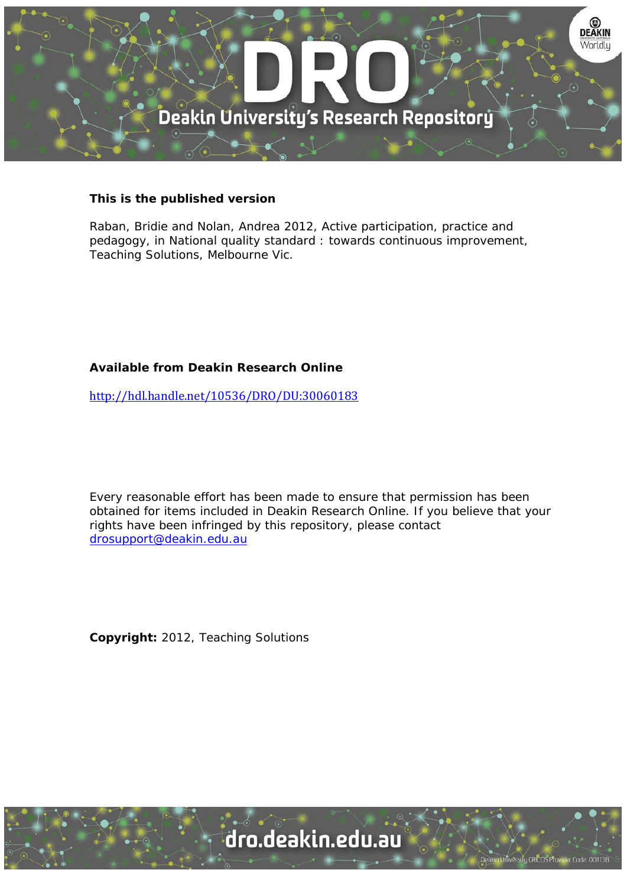

## **This is the published version**

Raban, Bridie and Nolan, Andrea 2012, Active participation, practice and pedagogy, in National quality standard : towards continuous improvement, Teaching Solutions, Melbourne Vic.

## **Available from Deakin Research Online**

http://hdl.handle.net/10536/DRO/DU:30060183

Every reasonable effort has been made to ensure that permission has been obtained for items included in Deakin Research Online. If you believe that your rights have been infringed by this repository, please contact drosupport@deakin.edu.au

**Copyright:** 2012, Teaching Solutions

University CRICOS Provider Code: 00113B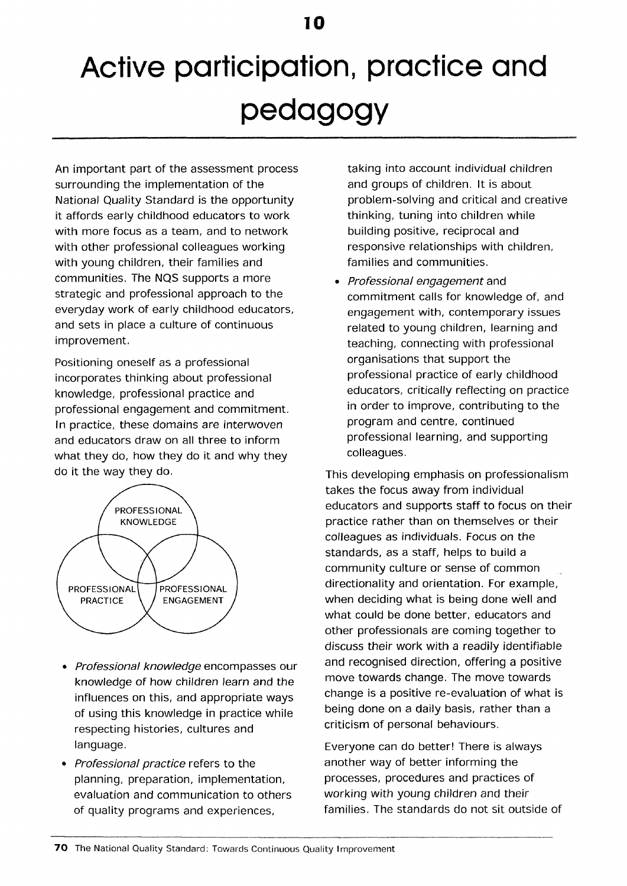## **Active participation, practice and pedagogy**

An important part of the assessment process surrounding the implementation of the National Quality Standard is the opportunity it affords early childhood educators to work with more focus as a team, and to network with other professional colleagues working with young children, their families and communities. The NQS supports a more strategic and professional approach to the everyday work of early childhood educators, and sets in place a culture of continuous improvement.

Positioning oneself as a professional incorporates thinking about professional knowledge, professional practice and professional engagement and commitment. In practice, these domains are interwoven and educators draw on all three to inform what they do, how they do it and why they do it the way they do.



- Professional knowledge encompasses our knowledge of how children learn and the influences on this, and appropriate ways of using this knowledge in practice while respecting histories, cultures and language.
- Professional practice refers to the planning, preparation, implementation, evaluation and communication to others of quality programs and experiences,

taking into account individual children and groups of children. It is about problem-solving and critical and creative thinking, tuning into children while building positive, reciprocal and responsive relationships with children, families and communities.

• Professional engagement and commitment calls for knowledge of, and engagement with, contemporary issues related to young children, learning and teaching, connecting with professional organisations that support the professional practice of early childhood educators, critically reflecting on practice in order to improve, contributing to the program and centre, continued professional learning, and supporting colleagues.

This developing emphasis on professionalism takes the focus away from individual educators and supports staff to focus on their practice rather than on themselves or their colleagues as individuals. Focus on the standards, as a staff, helps to build a community culture or sense of common directionality and orientation. For example, when deciding what is being done well and what could be done better, educators and other professionals are coming together to discuss their work with a readily identifiable and recognised direction, offering a positive move towards change. The move towards change is a positive re-evaluation of what is being done on a daily basis, rather than a criticism of personal behaviours.

Everyone can do better! There is always another way of better informing the processes, procedures and practices of working with young children and their families. The standards do not sit outside of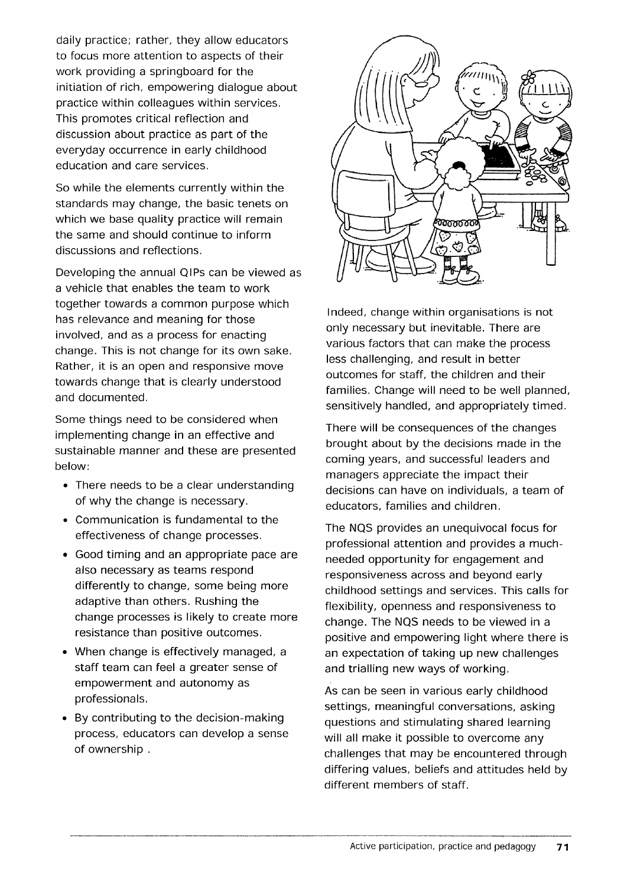daily practice; rather, they allow educators to focus more attention to aspects of their work providing a springboard for the initiation of rich, empowering dialogue about practice within colleagues within services. This promotes critical reflection and discussion about practice as part of the everyday occurrence in early childhood education and care services.

So while the elements currently within the standards may change, the basic tenets on which we base quality practice will remain the same and should continue to inform discussions and reflections.

Developing the annual QIPs can be viewed as a vehicle that enables the team to work together towards a common purpose which has relevance and meaning for those involved, and as a process for enacting change. This is not change for its own sake. Rather, it is an open and responsive move towards change that is clearly understood and documented.

Some things need to be considered when implementing change in an effective and sustainable manner and these are presented below:

- There needs to be a clear understanding of why the change is necessary.
- Communication is fundamental to the effectiveness of change processes.
- Good timing and an appropriate pace are also necessary as teams respond differently to change, some being more adaptive than others. Rushing the change processes is likely to create more resistance than positive outcomes.
- When change is effectively managed, a staff team can feel a greater sense of empowerment and autonomy as professionals.
- By contributing to the decision-making process, educators can develop a sense of ownership .



Indeed, change within organisations is not only necessary but inevitable. There are various factors that can make the process less challenging, and result in better outcomes for staff, the children and their families. Change will need to be well planned, sensitively handled, and appropriately timed.

There will be consequences of the changes brought about by the decisions made in the coming years, and successful leaders and managers appreciate the impact their decisions can have on individuals, a team of educators, families and children.

The NQS provides an unequivocal focus for professional attention and provides a muchneeded opportunity for engagement and responsiveness across and beyond early childhood settings and services. This calls for flexibility, openness and responsiveness to change. The NQS needs to be viewed in a positive and empowering light where there is an expectation of taking up new challenges and trialling new ways of working.

As can be seen in various early childhood settings, meaningful conversations, asking questions and stimulating shared learning will all make it possible to overcome any challenges that may be encountered through differing values, beliefs and attitudes held by different members of staff.